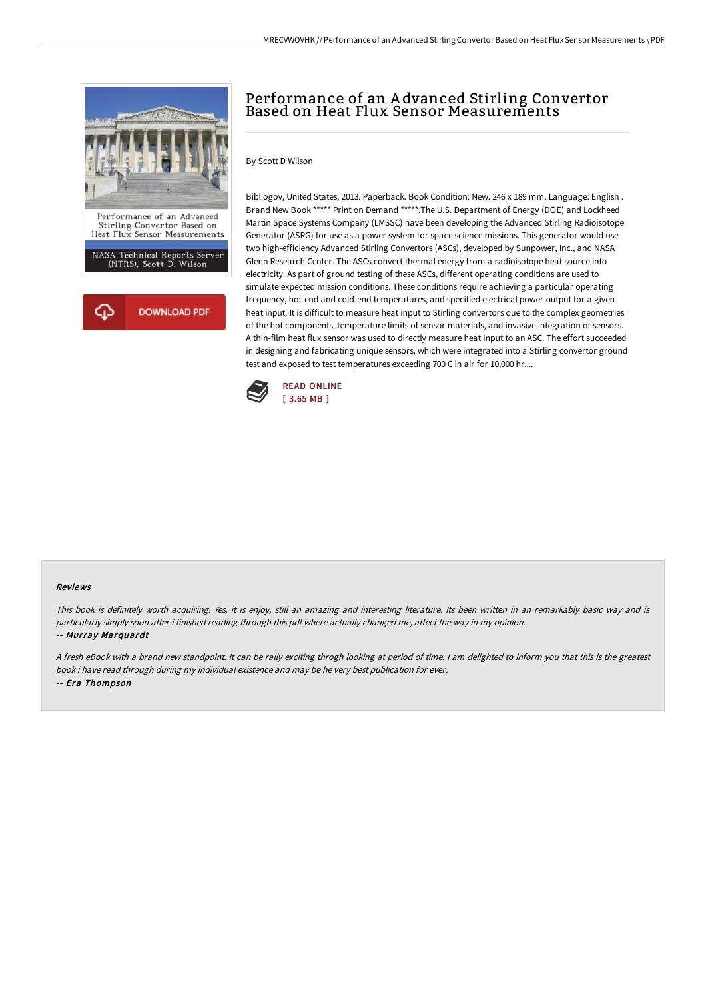

# Performance of an A dvanced Stirling Convertor Based on Heat Flux Sensor Measurements

### By Scott D Wilson

Bibliogov, United States, 2013. Paperback. Book Condition: New. 246 x 189 mm. Language: English . Brand New Book \*\*\*\*\* Print on Demand \*\*\*\*\*.The U.S. Department of Energy (DOE) and Lockheed Martin Space Systems Company (LMSSC) have been developing the Advanced Stirling Radioisotope Generator (ASRG) for use as a power system for space science missions. This generator would use two high-efficiency Advanced Stirling Convertors (ASCs), developed by Sunpower, Inc., and NASA Glenn Research Center. The ASCs convert thermal energy from a radioisotope heat source into electricity. As part of ground testing of these ASCs, different operating conditions are used to simulate expected mission conditions. These conditions require achieving a particular operating frequency, hot-end and cold-end temperatures, and specified electrical power output for a given heat input. It is difficult to measure heat input to Stirling convertors due to the complex geometries of the hot components, temperature limits of sensor materials, and invasive integration of sensors. A thin-film heat flux sensor was used to directly measure heat input to an ASC. The effort succeeded in designing and fabricating unique sensors, which were integrated into a Stirling convertor ground test and exposed to test temperatures exceeding 700 C in air for 10,000 hr....



#### Reviews

This book is definitely worth acquiring. Yes, it is enjoy, still an amazing and interesting literature. Its been written in an remarkably basic way and is particularly simply soon after i finished reading through this pdf where actually changed me, affect the way in my opinion. -- Murray Marquardt

<sup>A</sup> fresh eBook with <sup>a</sup> brand new standpoint. It can be rally exciting throgh looking at period of time. <sup>I</sup> am delighted to inform you that this is the greatest book i have read through during my individual existence and may be he very best publication for ever. -- Era Thompson